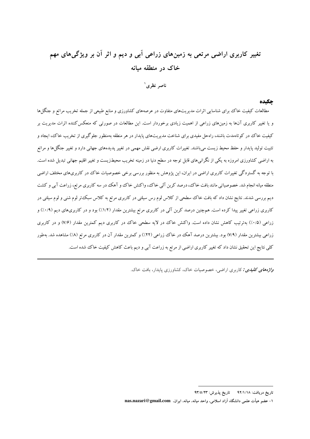# تغییر کاربری اراضی مرتعی به زمینهای زراعی اَبی و دیم و اثر اَن بر ویژگیهای مهم خاک در منطقه میانه

ناصر نظری ٰ

### حكىدە

مطالعات کیفیت خاک برای شناسایی اثرات مدیریتهای متفاوت در عرصههای کشاورزی و منابع طبیعی از جمله تخریب مراتع و جنگلها و یا تغییر کاربری آنها به زمینهای زراعی از اهمیت زیادی برخوردار است. این مطالعات در صورتی که منعکس کننده اثرات مدیریت بر کیفیت خاک در کو تاهمدت باشند، راهحل مفیدی برای شناخت مدیریتهای پایدار در هر منطقه بهمنظور جلوگیری از تخریب خاک، ایجاد و تثبیت تولید پایدار و حفظ محیط زیست میباشند. تغییرات کاربری ارضی نقش مهمی در تغییر پدیدههای جهانی دارد و تغییر جنگلها و مراتع به اراضی کشاورزی امروزه به یکی از نگرانیهای قابل توجه در سطح دنیا در زمینه تخریب محیطزیست و تغییر اقلیم جهانی تبدیل شده است. با توجه به گستردگی تغییرات کاربری اراضی در ایران، این پژوهش به منظور بررسی برخی خصوصیات خاک در کاربریهای مختلف اراضی منطقه میانه انجام شد. خصوصیاتی مانند بافت خاک، درصد کربن آلی خاک، واکنش خاک و آهک در سه کاربری مرتع، زراعت آبی و کشت دیم بررسی شدند. نتایج نشان داد که بافت خاک سطحی از کلاس لوم رس سیلتی در کاربری مرتع به کلاس سبک تر لوم شنی و لوم سیلتی در کاربری زراعی تغییر پیدا کرده است. همچنین درصد کربن آلمی در کاربری مرتع بیشترین مقدار (۱/۲٪) بود و در کاربریهای دیم (۰/۹٪) و زراعی (۱۰/۵٪) بهترتیب کاهش نشان داده است. واکنش خاک در لایه سطحی خاک در کاربری دیم کمترین مقدار (۷/۶) و در کاربری زراعی بیشترین مقدار (۷/۹) بود. بیشترین درصد آهک در خاک زراعی (۲۲٪) و کمترین مقدار آن در کاربری مرتع (۸٪) مشاهده شد. بهطور کلی نتایج این تحقیق نشان داد که تغییر کاربری اراضی از مرتع به زراعت آبی و دیم باعث کاهش کیفیت خاک شده است.

*واژههای کلیدی : کاربری اراضی، خصوصیات خاک، کشاورزی پایدار*، بافت خاک.

تاریخ دریافت: ۹۲/۱/۱۸ 5 تاریخ پذیرش: ۹۳/٥/۲۳

١- عضو هيأت علمي دانشگاه آزاد اسلامي، واحد ميانه، ميانه، ايران. nas.nazari@gmail.com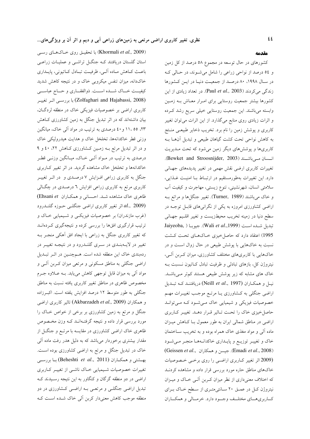(Khormali et al., 2009) با تحقیــق روی خــاکهــای رســی استان گلستان دریافتند کـه جنگــل تراشــی و عملیــات زراعــی باعث كـاهش مـاده آلـى، ظرفيـت تبـادل كـاتيونى، پايـدارى خاکدانه، میزان تنفس میکروبی خاک و در نتیجه کاهش شدید كيفيــت خــاك شـــده اســـت. ذوالفقـــاري و حـــاج عباســـي (Zolfaghari and Hajabassi, 2008) با بررسـي اثـر تغييـر کاربری اراضی بر خصوصیات فیزیکی خاک در منطقه لردگـان، بیان داشتهاند که در اثر تبدیل جنگل به زمین کشاورزی کاهش ۲۳، ۱۱، ۵۵ او ٤٠ درصدي به ترتيب در مواد آلي خاک، ميانگين وزنی قطر خاکدانهها، تخلخل خاک و هدایت هیدرولیکی خاک و در اثر تبدیل مرتع بـه زمـین کـشاورزی کـاهش ۲۲، ٤٠ و ۹ درصدی به ترتیب در مـواد آلـی خـاک، میـانگین وزنـی قطـر خاکدانهها و تخلخل خاک مشاهده گردید. در اثر تغییر کJربری جنگل به کاربری زراعی افـزایش ۷ درصـدی و در اثـر تغییـر کاربری مرتع به کاربری زراعی افزایش ٦ درصـدی در چگــالی ظاهری خاک مشاهده شد. احسانی و همکاران Ehsani et) al., 2009) اثر تغییر کاربری اراضی جنگلـی حـوزه گلنــدرود (غرب مازندران) بر خصوصیات فیزیکسی و شـیمیایی خـاک و ترتیب قرارگیری افقها را بررسی کرده و نتیجهگیری کـردهانــد که تغییر کاربری جنگل به زراعی با ایجاد افق آهکی منجـر بــه تغییر در لایــهبنــدی در ســری گلنــدرود و در نتیجــه تغییــر در ردهبندی خاک این منطقه شده است. هـمچنـین در اثـر تبـدیل اراضی جنگلی به مناطق مسکونی و مرتعی میزان کـربن آلـی و مواد آلی به میزان قابل توجهی کاهش مییابد. بـه عــلاوه جــرم مخصوص ظاهری در مناطق تغییر کاربری یافته نسبت به مناطق جنگلی به طور متوسط ۱۲ درصد افزایش یلفته است. اکبـرزاده و همكاران (Akbarzadeh et al., 2009) تاثير كاربرى اراضى جنگل و مرتع به زمین کشاورزی بر برخی از خواص خـاک را مورد بررسی قرار داده و نتیجه گرفتـهانــد کــه وزن مخــصوص ظاهری خاک اراضی کشاورزی در مقایسه با مرتـع و جنگــل از مقدار بیشتری برخوردار میباشد که به دلیل هدر رفت ماده آلبی خاک در تبدیل جنگل و مرتع به اراضی کشاورزی بوده است. بهشتمی و همکـاران (Beheshti *et al.*, 2011) بــا بررســـی تغییرات خصوصیات شـیمیایی خـاک ناشـی از تغییـر کـاربری اراضی در دو منطقه گرگان و کنگاور به این نتیجه رسـیدند کـه تبدیل اراضی جنگلـی و مرتعـی بـه اراضـی کـشاورزی در دو منطقه موجب کاهش معنیدار کربن آلی خاک شـده اسـت کـه

#### مقدمه

کشورهای در حال توسعه در مجموع ۵۸ درصد از کل زمین و ٥٤ درصد از نواحي زراعي را شامل مي شوند، در حـالي کـه در سال ۱۹۹۸، ۸۰ درصد از جمعیت دنیا در این کشورها زندگی می کردند (Paul et al., 2003). در تعداد زیادی از این کشورها بیشتر جمعیت روستایی برای امـرار معـاش بــه زمـین وابسته میباشند. این جمعیت روستایی خیلی سریع رشد کـرده و اثرات زیادی روی منابع میگذارد. از این اثرات میتوان تغییر کاربری و پوشش زمین را نام برد. تخریب ذخایر طبیعـی منـتج به کاهش نواحی تحت کشت گیاهان طبیعی و تبدیل آنهــا بــه کاربریها و پوششهای دیگر زمین میشود که تحت مـدیریت انسسان مے باشند (Bewket and Stroosnijder, 2003). تغییرات کاربری ارضی نقش مهمی در تغییر پدیدههای جهـانی دارد. این تغییرات بهطورمستقیم در ارتبـاط بــا امنیــت غــذایی، سلامتی انسان، شهرنشینی، تنوع زیستی، مهاجرت و کیفیت آب و خاک میباشند (Turner, 1989). تغییر جنگلها و مراتع بـه اراضی کشاورزی امروزه به یکی از نگرانیهای قابـل توجـه در سطح دنیا در زمینه تخریب محیطزیست و تغییر اقلـیم جهـانی Jaiyeoba, ) جيوبا (Wali et al., 1999). جيوبا 1995) اعتقاد دارد که حاصل خیزی خـاکهـای تحـت کـشت نسبت به خاکهایی با یوشش طبیعی در حال زوال است و در خاکهایی با کاربریهای مختلف کشاورزی، میزان کـربن آلـی، نیتروژن کل، بازهای تبادلی و ظرفیت تبادل کــاتیون نــسبت بــه خاک های مشابه که زیر پوشش طبیعی هستند کمتر مـیباشـد. نيـل و همكـاران (Neill et al., 1997) دريافتنـد كـه تبـديل اراضی جنگلی به کـشاورزی یـا مرتـع موجـب تغییـرات مهـم خصوصیات فیزیکی و شیمیایی خاک مےشود که مےتوانـد حاصل خیزی خاک را تحت تـاثیر قـرار دهـد. تغییـر کـاربری اراضی در مناطق شمالی ایران به طور معمول بـا کـاهش میـزان ماده آلمی و مواد مغذی خاک همراه بوده و به تخریب سـاختمان خاک و تغییـر توزیــع و پایــداری خاکدانــهمـا منجـر مــیشــود (Geissen et al., جيسن و همكاران) (Geissen et al., 2008) (2009 اثر تغییر کاربری اراضی را روی برخی خصوصیات خاکهای مناطق حاره مورد بررسی قرار داده و مشاهده کردنــد که اختلاف معنیداری از نظر میزان کـربن آلــی خــاک و میــزان نیتروژن کل در عمـق ۲۰ سـانتی متـری از سـطح خـاک بـرای كـاربريهــاي مختلــف وجــود دارد. خرمــالي و همكــاران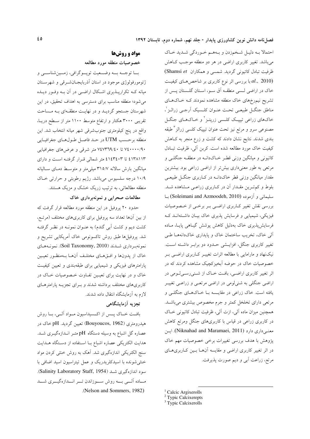احتمالا بـه دليـل شـخمزدن و بـههـم خـوردگي شـديد خـاک می باشد. تغییر کاربری اراضی در هر دو منطقه موجب کـاهش ظرفیت تبادل کاتیونی گردید. شمسی و همکاران Shamsi et) با بررسی اثر نوع کاربری بر شاخص های کیفیت  $al.,\ 2010)$ خاک در اراضی لـسی منطقــه آق ســو، اســتان گلــستان پــس از تشریح نیم رخهای خاک منطقه مشاهده نمودند کـه خـاکهـای مناطق جنگــل طبيعــي تحــت عنــوان كلــسيک آرجــي زرالــز ْ، خاکهای زراعی تیپیک کلـسی زرپتـز<sup>٬</sup> و خـاکـهـای جنگــل مصنوعی سرو و مرتع نیز تحت عنوان تیپیک کلسی زرالز ٌ طبقه بندی شدند. نتایج نشان دادند که کشت و زرع منجر به کـاهش کیفیت خاک مورد مطالعه شده است. کربن آلی، ظرفیت تبادل کاتیونی و میانگین وزنی قطر خـاکدانــه در منطقــه جنگلــی و مرتعی به طور معنیداری بیشتر از اراضی زراعی بود. بیشترین مقدار میانگین وزنی قطر خاکدانـه در کـاربری جنگـل طبیعـی بلوط و کم تـرین مقـدار آن در کـاربری زراعـی مـشاهده شـد. سليمانى و آزموده (Soleimani and Azmoodeh, 2010) با بررسی نقش تغییر کباربری اراضی ببر برخبی از خصوصیات فیزیکی، شیمیایی و فرسایش پذیری خاک بیـان داشـتهانـد کـه فرسایشپذیری خاک بهدلیل کاهش پوشش گیـاهی پایـا، مـاده آلی خاک، تخریب ساختمان خاک و پایداری خاکدانههـا طـی تغییر کاربری جنگل، افزایـشی حـدود دو برابـر داشـته اسـت. نیکنهاد و مارامایی با مطالعه اثرات تغییـر کـاربری اراضـی بـر خصوصیات خاک در حوضه آبخیزکچیک مشاهده کردند که در اثر تغییر کاربری اراضی، بافت خـاک از شـنیرسـیلـومی در اراضي جنگلي به شني لومي در اراضي مرتعبي و زراعـي تغييـر یافته است. خاک زراعی در مقایــسه بــا خــاکهــای جنگلــی و مرتعی دارای تخلخل کمتر و جرم مخصوص بیشتری میباشـد. همچنین میزان ماده آلی، ازت آلی، ظرفیت تبادل کاتیونی خـاک در کاربری زراعی در قیاس با کاربریهای جنگل ومرتع کاهش معنى دارى دارد (Niknahad and Maramaei, 2011). ايسن پژوهش با هدف بررسی تغییرات برخی خصوصیات مهم خاک در اثر تغییر کاربری اراضی و مقایسه آنها بسین کاربری های مرتع، زراعت آبي و ديم صورت پذيرفت.

# مواد و روشها خصوصيات منطقه مورد مطالعه

بــا توجــه بـــه وضـــعيت توپـــوگرافي، زمـــينشناســـي و ژئومورفولوژی موجود در استان آذربایجان شرقی و شهرستان میانه کـه تکرارپــذیری اشــکال اراضــی در آن بــه وفــور دیــده می شود؛ منطقه مناسب برای دسترسی به اهداف تحقیق، در این شهرستان جستجو گردیـد و در نهایـت منطقـهای بـه مـساحت تقریبی ۳۰۰۰ هکتار و ارتفاع متوسط ۱۱۰۰ متر از سطح دریـا، واقع در پنج كيلومترى جنوبشرقى شهر ميانه انتخاب شد. اين منطقه برحسب UTM در حـد فاصـل طـولهـاي جغرافيـايي ۷٤٠٠٠٠/۹۰ تا ۷٤٧٣٦٩/٤٠ متر شرقي و عرضهاي جغرافيايي ٤١٣٨١١٣ تا ٤١٤٣٤٠٣ متر شمالي قـرار گرفتـه اسـت و داراي میانگین بارش سالانه ۳۱۵/۷ میلی متر و متوسط دمـای سـالیانه ۱۰/۹ درجه سلسیوس میباشد. رژیم رطوبتی و حرارتی خاک منطقه مطالعاتی، به ترتیب زریک خشک و مزیک هستند.

# مطالعات صحرایی و نمونهبرداری خاک

حدود ۲۰ پروفیل در این منطقه مورد مطالعه قرار گرفت که از بین آنها تعداد سه پروفیل برای کاربریهای مختلف (مرتـع، کشت دیم و کشت آبی گندم) به عنـوان نمونـه در نظـر گرفتـه شد. پروفیلها طبق روش تاکسونومی خاک آمریکایی تشریح و نمونهبرداري شدند (Soil Taxonomy, 2010). نمونـههـاي خاک از پدونها و افـــقهـــای مختلــف آنهــا بــهمنظــور تعيــين .<br>پارامترهای فیزیکی و شیمیایی برای طبقهبندی و تعیین کیفیت خاک و در نهایت برای تعیمین تفـاوت خـصوصیات خـاک در کاربریهای مختلف برداشته شدند و بهرای تجزیــه پارامترهـای لازم به آزمایشگاه انتقال داده شدند.

# تجزیه آزمایشگاهی

بافت خـاک پــس از اکــسیداسیون مــواد آلــي، بــا روش هیدرومتری (Bouyoucos, 1962) تعیین گردید. pH خاک در عصاره گل اشباع به وسیله دستگاه pH متـر انــدازهگیــری شــد. هدایت الکتریکی عصاره اشباع بـا اسـتفاده از دسـتگاه هــدایت سنج الکتریکی اندازهگیری شد. آهک به روش خنثی کردن مواد خنثی شونده با اسیدکلریدریک و عمل تیتراسیون اسید اضافی با سود اندازهگیری شد (Salinity Laboratory Staff, 1954). مـاده الــي بـــه روش ســوزاندن تــر انــدازهگيــرى شـــد (Nelson and Sommers, 1982).

<sup>&</sup>lt;sup>1</sup> Calcic Argixerolls

<sup>&</sup>lt;sup>2</sup> Typic Calcixerepts

<sup>&</sup>lt;sup>3</sup> Typic Calcixerolls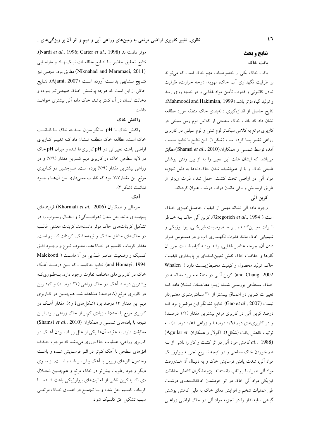# نتايج و بحث

## بافت خاک

بافت خاک یکی از خصوصیات مهم خاک است که می تواند بر ظرفیت نگهداری آب خاک، تهویه، درجه حرارت، ظرفیت تبادل کاتیونی و قدرت تأمین مواد غذایی و در نتیجه روی رشد و توليد گياه مؤثر باشد (Mahmoodi and Hakimian, 1999). نتايج حاصل از اندازهگيري دانهبندي خاک منطقه مورد مطالعه نشان داد که بافت خاک سطحی از کلاس لوم رس سیلتی در کاربری مرتع به کلاس سبکتر لوم شنی و لوم سیلتی در کاربری زراعي تغيير پيدا كرده است (شكل ١). اين نتايج با نتايج بدست آمده توسط شمسی و همکاران (Shamsi et al., 2010) مطابق میباشد که ایشان علت این تغییر را به از بین رفتن پوشش طبیعی خاک و یا از همپاشیده شدن خاکدانهها به دلیل تجزیه مواد آلی در اراضی تحت کشت، حمل شدن ذرات ریزتر از طریق فرسایش و باقی ماندن ذرات درشت عنوان کردهاند. كربن آلى

وجود ماده آلی نشانه مهمی از کیفیت حاصـلخیـزی خـاک است ( Gregorich et al., 1994). كربن ألى خاك بـه خـاطر اثـرات تعيـين كننـده بـر خـصوصيات فيزيكـي، بيولـوژيكي و شیمیایی خاک مانند قدرت نگهـداری آب و در دسـترس قـرار دادن آن، چرخه عناصر غذایی، رشد ریشه گیاه، شــدت جریــان گازها و حفاظت خاک نقش تعیین کنندهای بر پایـداری کیفیـت خاک، تولید محصول و کیفیت محیطزیست دارد ( Whalen and Chang, 2002). كربن آلـي در منطقــه مــورد مطالعــه در خـاک سـطحي بررسـي شـد، زيـرا مطالعـات نـشان داده کـه تغییرات کـربن در اعمـاق بیـشتر از ۳۰ سـانتیمتـری معنـیدار نیست (Gao et al., 2007). نتایج نشانگر این موضوع بود ک درصد کربن آلی در کاربری مرتع بیشترین مقدار (۱/۲ درصـد) و در کاربریهای دیم (۰/۹ درصد) و زراعی (۰/۵ درصـد) بـه ترتیب کاهش یافت (شکل ۲). آگولار و همکاران Aguilar et) al., 1988) کاهش مواد آلمی در اثر کشت و کار را ناشمی از بــه هم خوردن خاک سطحی و در نتیجه تسریع تجزیــه بیولوژیـک مواد آلي، شدت يافتن فرسايش خاک و به دنبـال آن هـــدررفت مواد آلی همراه با رواناب دانستهاند. پژوهشگران کاهش حفاظت فیزیکی مواد آلی خاک در اثر خردشدن خاکدانـههـای درشـت طی عملیات شخم و افزایش دمای خاک به دلیل کاهش پوشش گیاهی سایهانداز را در تجزیه مواد آلی در خاک اراضی زراعـی

.(Nardi et al., 1996; Carter et al., 1998). نتايج تحقيق حاضر بــا نتــايج مطالعــات نيـك(نهــاد و مارامــايي (Niknahad and Maramaei, 2011) مطابق بود. عجمى نيز نتـايج مـشابهي بدسـت أورده اسـت (Ajami, 2007). نتـايج حاکی از این است که هرچه پوشــش خــاک طبیعــیتــر بــوده و دخالت انسان در آن کمتر باشد، خاک ماده آلی بیشتری خواهــد داشت.

### واكنش خاك

واكنش خاك يا pH بيانگر ميزان اسيديته خاك يـا قليائيـت خاک است. مطالعه خاک منطقـه نــشان داد کــه تغییــر کــاربری اراضی باعث تغییراتی در pH کاربریها شده و میزان pH خاک در لایه سطحی خاک در کاربری دیم کمترین مقدار (۷/٦) و در زراعی بیشترین مقدار (۷/۹) بوده است. هـمچنـین در کـاربری مرتع این مقدار ۷/۷ بود که تفاوت معنیداری بین آنها وجود نداشت (شكل٣).

### آهک

خرمالی و همکاران (Khormali et al., 2006) فرایندهای پیچیدهای مانند حل شدن (هوادیـدگی) و انتقـال رسـوب را در تشکیل کربناتهای خاک موثر دانستهاند. کربنات معدنی غالب در خاکهای مناطق خشک و نیمهخشک، کربنات کلسیم است. مقدار كربنات كلسيم در خـاكهـا، معـرف نــوع و وجــود افــق کلسیک و وضعیت عناصر غذایی در آنهاست ( Malekooti and Homayi, 1994). نتايج حاكيست كه بين درصـد آهـك خاک در کاربریهای مختلف تفاوت وجود دارد. بـهطـوریکـه بیشترین درصد آهک در خاک زراعی (۲۲ درصـد) و کمتـرین در کاربری مرتع (۸ درصد) مشاهده شد. همچنـین در کـاربری دیم این مقدار ۱۳ درصد بود (شکلهای ٤ و٥). مقدار آهـک در کاربری مرتع با اختلاف زیادی کمتر از خاک زراعی بـود. ایــن نتيجه با يافتههاى شمسى و همكاران (Shamsi et al., 2010) مطابقت دارد. به عقیده آنها یکی از علل زیـاد بــودن آهــک در کاربری زراعی، عملیات خاکورزی میباشد که موجب حـذف افقهای سطحی با آهک کم تر در اثـر فرسـایش شـده و باعـث رخنمون افقهای زیرین با آهک بیشتر شده است. از سوی دیگر وجود رطوبت بیشتر در خاک مرتع و همچنـین انحــلال دی اکسیدکربن ناشی از فعالیتهای بیولوژیکی باعث شــده تــا كربنات كلسيم حل شده و بــا تجمــع در اعمــاق خــاک مرتعــى سبب تشكيل افق كلسيك شود.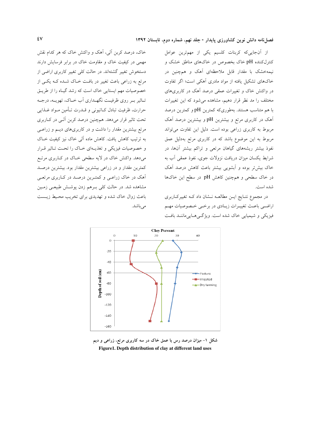از آنجاییکه کربنات کلسیم یکی از مهمترین عوامل کنترلکننده pH خاک بخصوص در خاکهای مناطق خشک و نیمهخشک با مقدار قابل ملاحظهای آهک و همچنین در خاکهای تشکیل یافته از مواد مادری آهکی است؛ اگر تفاوت در واکنش خاک و تغییرات عمقی درصد آهک در کاربریهای مختلف را مد نظر قرار دهیم، مشاهده می شود که این تغییرات با هم متناسب هستند. بهطوریکه کمترین pH و کمترین درصد آهک در کاربری مرتع و بیشترین pH و بیشترین درصد آهک مربوط به کاربری زراعی بوده است. دلیل این تفاوت میتواند مربوط به این موضوع باشد که در کاربری مرتع بهدلیل عمق نفوذ بیشتر ریشههای گیاهان مرتعی و تراکم بیشتر آنها، در شرايط يكسان ميزان دريافت نزولات جوي، نفوذ عمقى آب به خاک بیش تر بوده و آبشویی بیشتر باعث کاهش درصد آهک در خاک سطحی و همچنین کاهش pH در سطح این خاکها شده است.

در مجموع نتـايج ايــن مطالعــه نــشان داد كــه تغييركــاربرى اراضی باعث تغییـرات زیـادی در برخـی خـصوصیات مهـم فيزيكي و شيميايي خاك شده است. ويژگے هـايي ماننــد بافـت





شکل ۱- میزان درصد رس با عمق خاک در سه کاربری مرتع، زراعی و دیم Figure 1. Depth distribution of clay at different land uses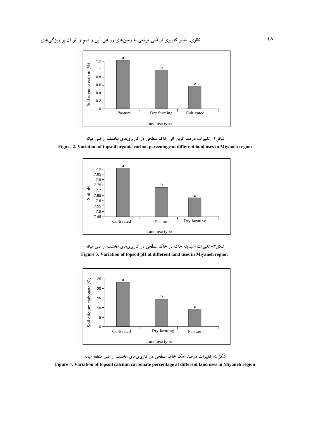

شکل۲- تغییرات درصد کربن الی خاک سطحی در کاربریهای مختلف اراضی میانه

Figure 2. Variation of topsoil organic carbon percentage at different land uses in Miyaneh region







شکل۶- تغییرات درصد آهک خاک سطحی در کاربریهای مختلف اراضی منطقه میانه

Figure 4. Variation of topsoil calcium carbonate percentage at different land uses in Miyaneh region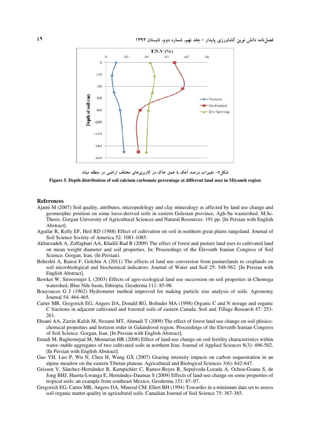

شکل۵– تغییرات درصد آهک با عمق خاک در کاربریهای مختلف اراضی در منطقه میانه

Figure 5. Depth distribution of soil calcium carbonate percentage at different land uses in Miyaneh region

### References

- Ajami M (2007) Soil quality, attributes, micropedology and clay mineralogy as affected by land use change and geomorphic position on some loess-derived soils in eastern Golestan province, Agh-Su wastershed. M.Sc. Thesis. Gorgan University of Agricultural Sciences and Natural Resources. 191 pp. [In Persian with English Abstract].
- Aguilar R, Kelly EF, Heil RD (1988) Effect of cultivation on soil in northern great plains rangeland. Journal of Soil Science Society of America 52: 1081-1085.
- Akbarzadeh A, Zolfaghari AA, Khalili Rad R (2009) The effect of forest and pasture land uses to cultivated land on mean weight diameter and soil properties. In: Proceedings of the Eleventh Iranian Congress of Soil Science. Gorgan, Iran. (In Persian).
- Beheshti A, Raiesi F, Golchin A (2011) The effects of land use conversion from pasturelands to croplands on soil microbiological and biochemical indicators. Journal of Water and Soil 25: 548-562. [In Persian with English Abstract].
- Bewket W, Strooosnjer L (2003) Effects of agro-ecological land use succession on soil properties in Chemoga watershed, Blue Nile basin, Ethiopia. Geoderma 111: 85-98.
- Bouyoucos G J (1962) Hydrometer method improved for making particle size analysis of soils. Agronomy Journal 54: 464-465.
- Carter MR, Gregorich EG, Angers DA, Donald RG, Bolinder MA (1998) Organic C and N storage and organic C fractions in adjacent cultivated and forested soils of eastern Canada. Soil and Tillage Research 47: 253- 261.
- Ehsani AA, Zarrin Kafsh M, Nezami MT, Ahmadi T (2009) The effect of forest land use change on soil phisicochemical properties and horizon order in Galandrood region. Proceedings of the Eleventh Iranian Congress of Soil Science. Gorgan, Iran. [In Persian with English Abstract].
- Emadi M, Baghernejad M, Memarian HR (2008) Effect of land-use change on soil fertility characteristics within water–stable aggregates of two cultivated soils in northern Iran. Journal of Applied Sciences 8(3): 496-502. [In Persian with English Abstract].
- Gao YH, Luo P, Wu N, Chen H, Wang GX (2007) Grazing intensity impacts on carbon sequestration in an alpine meadow on the eastern Tibetan plateau. Agricultural and Biological Sciences 3(6): 642-647.
- Geissen V, Sánchez-Hernández R, Kampichler C, Ramos-Reyes R, Sepulveda-Lozada A, Ochoa-Goana S, de Jong BHJ, Huerta-Lwanga E, Hernández-Daumas S (2009) Effects of land-use change on some properties of tropical soils: an example from southeast Mexico, Geoderma 151: 87–97.
- Gregorich EG, Carter MR, Angers DA, Mineral CM, Ellert BH (1994) Towardes in a minimum data set to assess soil organic matter quality in agricultural soils. Canadian Journal of Soil Science 75: 367-385.